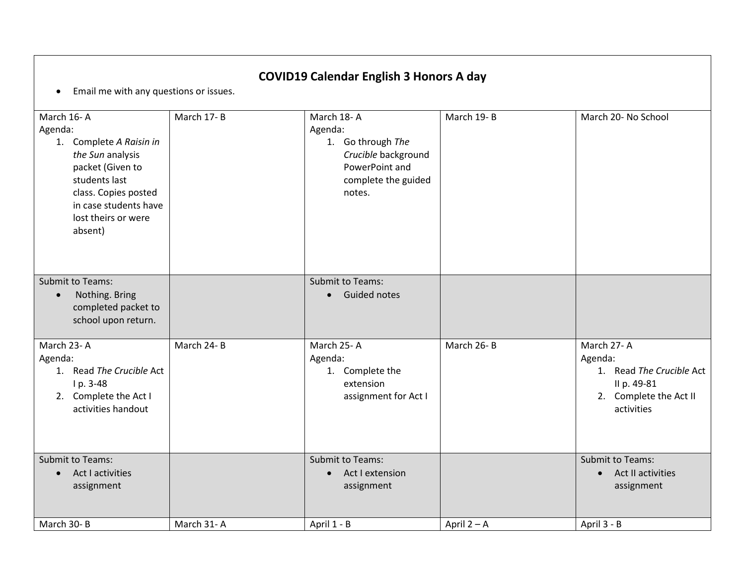| <b>COVID19 Calendar English 3 Honors A day</b><br>Email me with any questions or issues.<br>$\bullet$                                                                                        |            |                                                                                                                      |               |                                                                                                          |  |  |
|----------------------------------------------------------------------------------------------------------------------------------------------------------------------------------------------|------------|----------------------------------------------------------------------------------------------------------------------|---------------|----------------------------------------------------------------------------------------------------------|--|--|
| March 16-A<br>Agenda:<br>1. Complete A Raisin in<br>the Sun analysis<br>packet (Given to<br>students last<br>class. Copies posted<br>in case students have<br>lost theirs or were<br>absent) | March 17-B | March 18-A<br>Agenda:<br>1. Go through The<br>Crucible background<br>PowerPoint and<br>complete the guided<br>notes. | March 19-B    | March 20- No School                                                                                      |  |  |
| <b>Submit to Teams:</b><br>Nothing. Bring<br>$\bullet$<br>completed packet to<br>school upon return.                                                                                         |            | <b>Submit to Teams:</b><br><b>Guided notes</b><br>$\bullet$                                                          |               |                                                                                                          |  |  |
| March 23-A<br>Agenda:<br>1. Read The Crucible Act<br>I p. 3-48<br>2. Complete the Act I<br>activities handout                                                                                | March 24-B | March 25-A<br>Agenda:<br>1. Complete the<br>extension<br>assignment for Act I                                        | March 26-B    | March 27-A<br>Agenda:<br>1. Read The Crucible Act<br>II p. 49-81<br>2. Complete the Act II<br>activities |  |  |
| <b>Submit to Teams:</b><br>• Act I activities<br>assignment                                                                                                                                  |            | <b>Submit to Teams:</b><br>Act I extension<br>$\bullet$<br>assignment                                                |               | <b>Submit to Teams:</b><br><b>Act II activities</b><br>$\bullet$<br>assignment                           |  |  |
| March 30-B                                                                                                                                                                                   | March 31-A | April 1 - B                                                                                                          | April $2 - A$ | April 3 - B                                                                                              |  |  |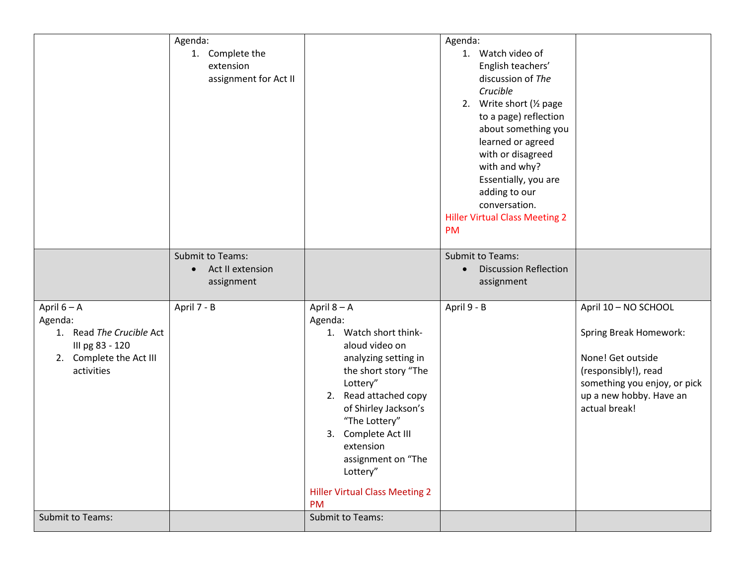|                                                                                                                | Agenda:                                                                |                                                                                                                                                                                                                                                                                                                                  | Agenda:                                                                                                                                                                                                                                                                                                                 |                                                                                                                                                                                |
|----------------------------------------------------------------------------------------------------------------|------------------------------------------------------------------------|----------------------------------------------------------------------------------------------------------------------------------------------------------------------------------------------------------------------------------------------------------------------------------------------------------------------------------|-------------------------------------------------------------------------------------------------------------------------------------------------------------------------------------------------------------------------------------------------------------------------------------------------------------------------|--------------------------------------------------------------------------------------------------------------------------------------------------------------------------------|
|                                                                                                                | 1. Complete the<br>extension<br>assignment for Act II                  |                                                                                                                                                                                                                                                                                                                                  | 1. Watch video of<br>English teachers'<br>discussion of The<br>Crucible<br>2. Write short (1/2 page<br>to a page) reflection<br>about something you<br>learned or agreed<br>with or disagreed<br>with and why?<br>Essentially, you are<br>adding to our<br>conversation.<br><b>Hiller Virtual Class Meeting 2</b><br>PM |                                                                                                                                                                                |
|                                                                                                                | <b>Submit to Teams:</b><br>Act II extension<br>$\bullet$<br>assignment |                                                                                                                                                                                                                                                                                                                                  | Submit to Teams:<br><b>Discussion Reflection</b><br>assignment                                                                                                                                                                                                                                                          |                                                                                                                                                                                |
| April 6 - A<br>Agenda:<br>1. Read The Crucible Act<br>III pg 83 - 120<br>2. Complete the Act III<br>activities | April 7 - B                                                            | April $8 - A$<br>Agenda:<br>1. Watch short think-<br>aloud video on<br>analyzing setting in<br>the short story "The<br>Lottery"<br>2. Read attached copy<br>of Shirley Jackson's<br>"The Lottery"<br>Complete Act III<br>3.<br>extension<br>assignment on "The<br>Lottery"<br><b>Hiller Virtual Class Meeting 2</b><br><b>PM</b> | April 9 - B                                                                                                                                                                                                                                                                                                             | April 10 - NO SCHOOL<br><b>Spring Break Homework:</b><br>None! Get outside<br>(responsibly!), read<br>something you enjoy, or pick<br>up a new hobby. Have an<br>actual break! |
| Submit to Teams:                                                                                               |                                                                        | <b>Submit to Teams:</b>                                                                                                                                                                                                                                                                                                          |                                                                                                                                                                                                                                                                                                                         |                                                                                                                                                                                |